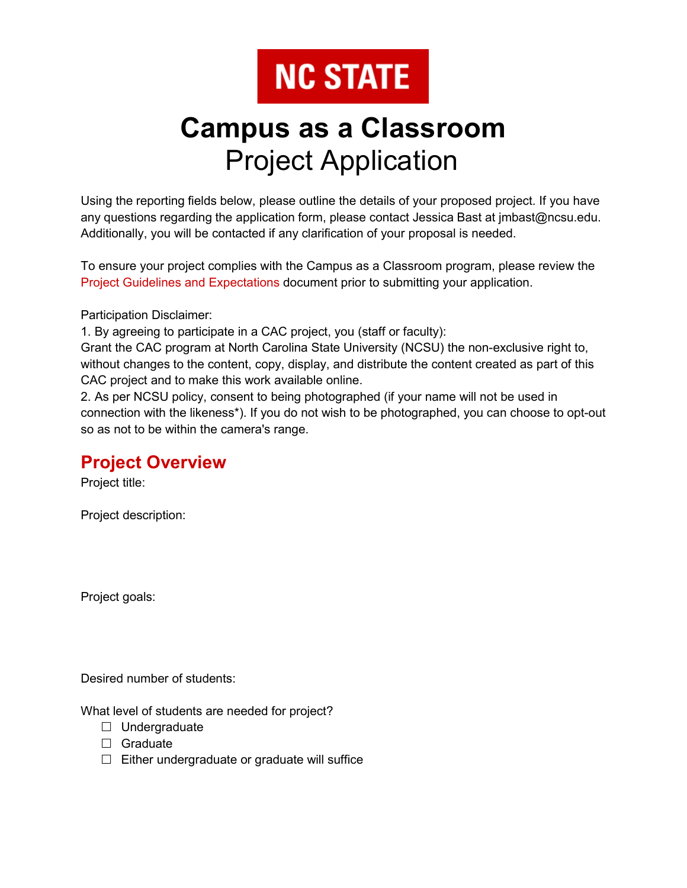# **NC STATE**

## **Campus as a Classroom** Project Application

Using the reporting fields below, please outline the details of your proposed project. If you have any questions regarding the application form, please contact Jessica Bast at jmbast@ncsu.edu. Additionally, you will be contacted if any clarification of your proposal is needed.

To ensure your project complies with the Campus as a Classroom program, please review the [Project Guidelines and Expectations](https://sustainability.ncsu.edu/multisite/wp-content/uploads/2021/11/CAC-Internship-Project-Guidelines.pdf) document prior to submitting your application.

Participation Disclaimer:

1. By agreeing to participate in a CAC project, you (staff or faculty):

Grant the CAC program at North Carolina State University (NCSU) the non-exclusive right to, without changes to the content, copy, display, and distribute the content created as part of this CAC project and to make this work available online.

2. As per NCSU policy, consent to being photographed (if your name will not be used in connection with the likeness\*). If you do not wish to be photographed, you can choose to opt-out so as not to be within the camera's range.

#### **Project Overview**

Project title:

Project description:

Project goals:

Desired number of students:

What level of students are needed for project?

- $\Box$  Undergraduate
- □ Graduate
- $\Box$  Either undergraduate or graduate will suffice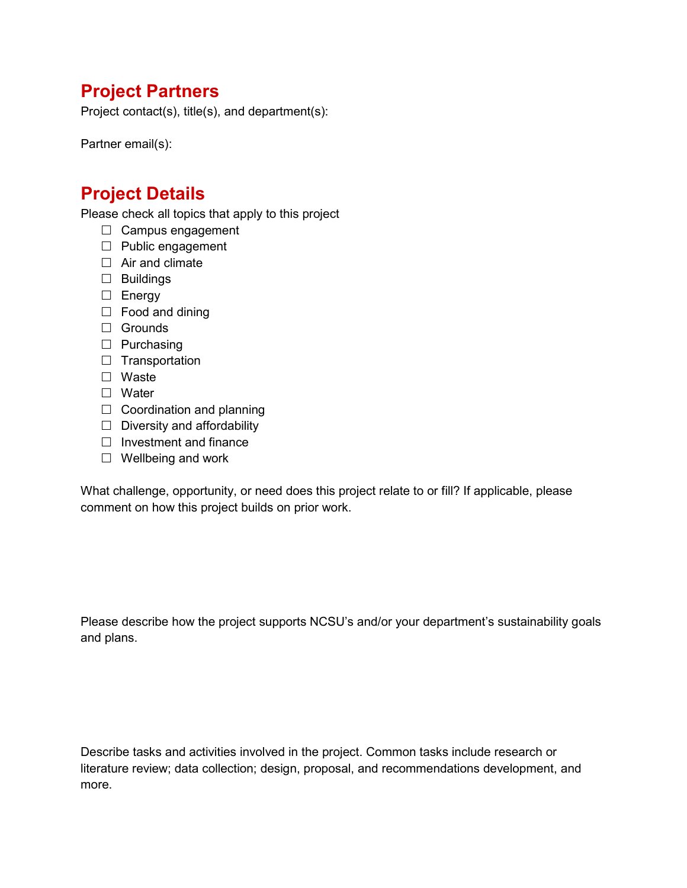#### **Project Partners**

Project contact(s), title(s), and department(s):

Partner email(s):

### **Project Details**

Please check all topics that apply to this project

- $\Box$  Campus engagement
- $\Box$  Public engagement
- $\Box$  Air and climate
- $\Box$  Buildings
- $\square$  Energy
- $\Box$  Food and dining
- □ Grounds
- $\Box$  Purchasing
- $\Box$  Transportation
- □ Waste
- □ Water
- $\Box$  Coordination and planning
- $\Box$  Diversity and affordability
- $\Box$  Investment and finance
- $\Box$  Wellbeing and work

What challenge, opportunity, or need does this project relate to or fill? If applicable, please comment on how this project builds on prior work.

Please describe how the project supports NCSU's and/or your department's sustainability goals and plans.

Describe tasks and activities involved in the project. Common tasks include research or literature review; data collection; design, proposal, and recommendations development, and more.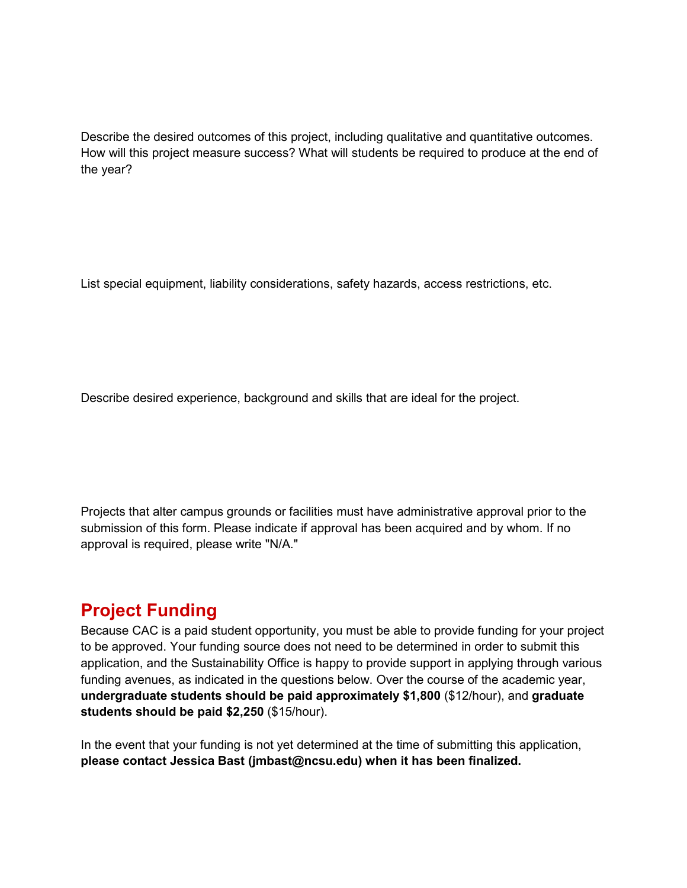Describe the desired outcomes of this project, including qualitative and quantitative outcomes. How will this project measure success? What will students be required to produce at the end of the year?

List special equipment, liability considerations, safety hazards, access restrictions, etc.

Describe desired experience, background and skills that are ideal for the project.

Projects that alter campus grounds or facilities must have administrative approval prior to the submission of this form. Please indicate if approval has been acquired and by whom. If no approval is required, please write "N/A."

#### **Project Funding**

Because CAC is a paid student opportunity, you must be able to provide funding for your project to be approved. Your funding source does not need to be determined in order to submit this application, and the Sustainability Office is happy to provide support in applying through various funding avenues, as indicated in the questions below. Over the course of the academic year, **undergraduate students should be paid approximately \$1,800** (\$12/hour), and **graduate students should be paid \$2,250** (\$15/hour).

In the event that your funding is not yet determined at the time of submitting this application, **please contact Jessica Bast (jmbast@ncsu.edu) when it has been finalized.**